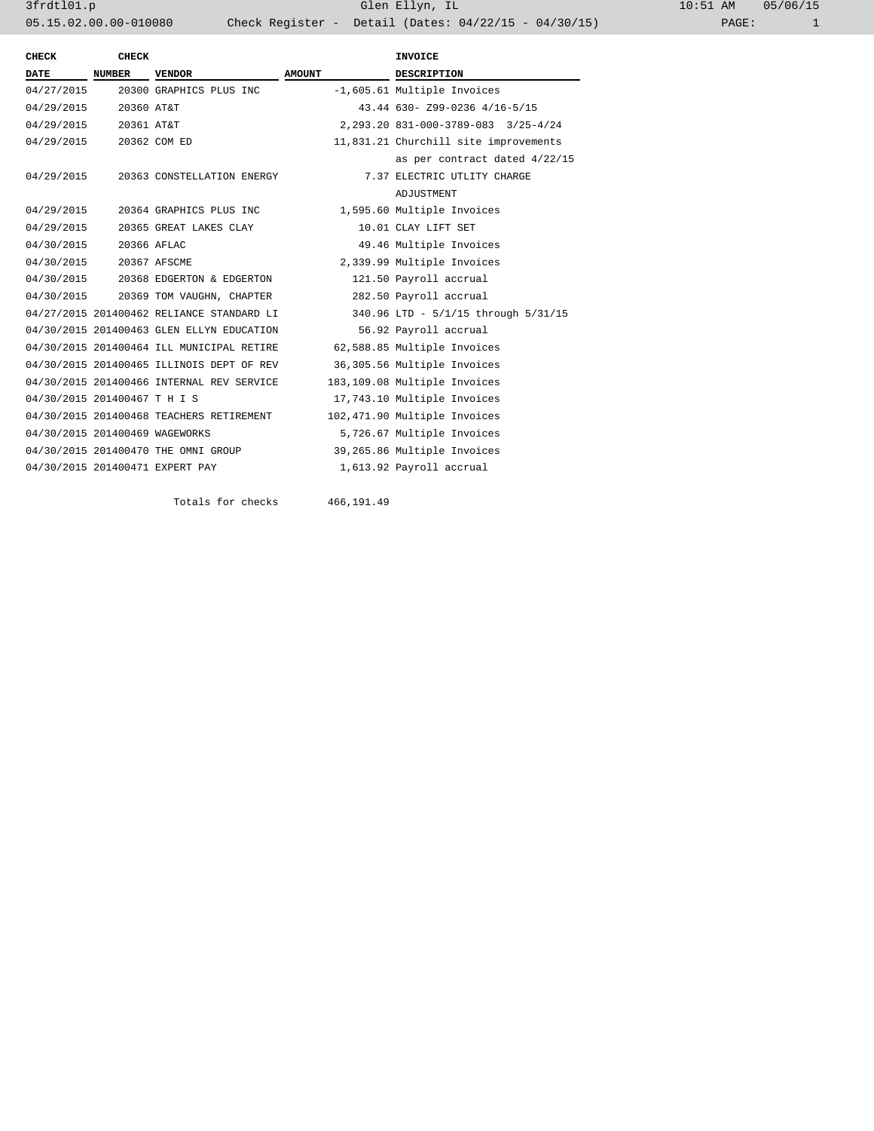3frdtl01.p Glen Ellyn, IL 10:51 AM 05/06/15 05.15.02.00.00-010080 Check Register - Detail (Dates: 04/22/15 - 04/30/15)

| CHECK                          | <b>CHECK</b>  |                                           |                               | <b>INVOICE</b>                        |  |
|--------------------------------|---------------|-------------------------------------------|-------------------------------|---------------------------------------|--|
| <b>DATE</b>                    | <b>NUMBER</b> | <b>VENDOR</b>                             | <b>AMOUNT</b>                 | <b>DESCRIPTION</b>                    |  |
| 04/27/2015                     |               | 20300 GRAPHICS PLUS INC                   |                               | -1,605.61 Multiple Invoices           |  |
| 04/29/2015 20360 AT&T          |               |                                           | 43.44 630- Z99-0236 4/16-5/15 |                                       |  |
| 04/29/2015 20361 AT&T          |               |                                           |                               | 2, 293.20 831-000-3789-083 3/25-4/24  |  |
| 04/29/2015 20362 COM ED        |               |                                           |                               | 11,831.21 Churchill site improvements |  |
|                                |               |                                           |                               | as per contract dated 4/22/15         |  |
|                                |               | 04/29/2015 20363 CONSTELLATION ENERGY     |                               | 7.37 ELECTRIC UTLITY CHARGE           |  |
|                                |               |                                           |                               | ADJUSTMENT                            |  |
|                                |               | 04/29/2015 20364 GRAPHICS PLUS INC        |                               | 1,595.60 Multiple Invoices            |  |
|                                |               | 04/29/2015 20365 GREAT LAKES CLAY         |                               | 10.01 CLAY LIFT SET                   |  |
| 04/30/2015 20366 AFLAC         |               |                                           |                               | 49.46 Multiple Invoices               |  |
| 04/30/2015 20367 AFSCME        |               |                                           |                               | 2,339.99 Multiple Invoices            |  |
|                                |               | 04/30/2015 20368 EDGERTON & EDGERTON      |                               | 121.50 Payroll accrual                |  |
|                                |               | 04/30/2015 20369 TOM VAUGHN, CHAPTER      |                               | 282.50 Payroll accrual                |  |
|                                |               | 04/27/2015 201400462 RELIANCE STANDARD LI |                               | 340.96 LTD - 5/1/15 through 5/31/15   |  |
|                                |               | 04/30/2015 201400463 GLEN ELLYN EDUCATION |                               | 56.92 Payroll accrual                 |  |
|                                |               | 04/30/2015 201400464 ILL MUNICIPAL RETIRE |                               | 62,588.85 Multiple Invoices           |  |
|                                |               | 04/30/2015 201400465 ILLINOIS DEPT OF REV |                               | 36,305.56 Multiple Invoices           |  |
|                                |               | 04/30/2015 201400466 INTERNAL REV SERVICE |                               | 183,109.08 Multiple Invoices          |  |
| 04/30/2015 201400467 T H I S   |               |                                           |                               | 17,743.10 Multiple Invoices           |  |
|                                |               | 04/30/2015 201400468 TEACHERS RETIREMENT  |                               | 102,471.90 Multiple Invoices          |  |
| 04/30/2015 201400469 WAGEWORKS |               |                                           |                               | 5,726.67 Multiple Invoices            |  |
|                                |               | 04/30/2015 201400470 THE OMNI GROUP       |                               | 39,265.86 Multiple Invoices           |  |
|                                |               | 04/30/2015 201400471 EXPERT PAY           |                               | 1,613.92 Payroll accrual              |  |
|                                |               |                                           |                               |                                       |  |

Totals for checks 466,191.49